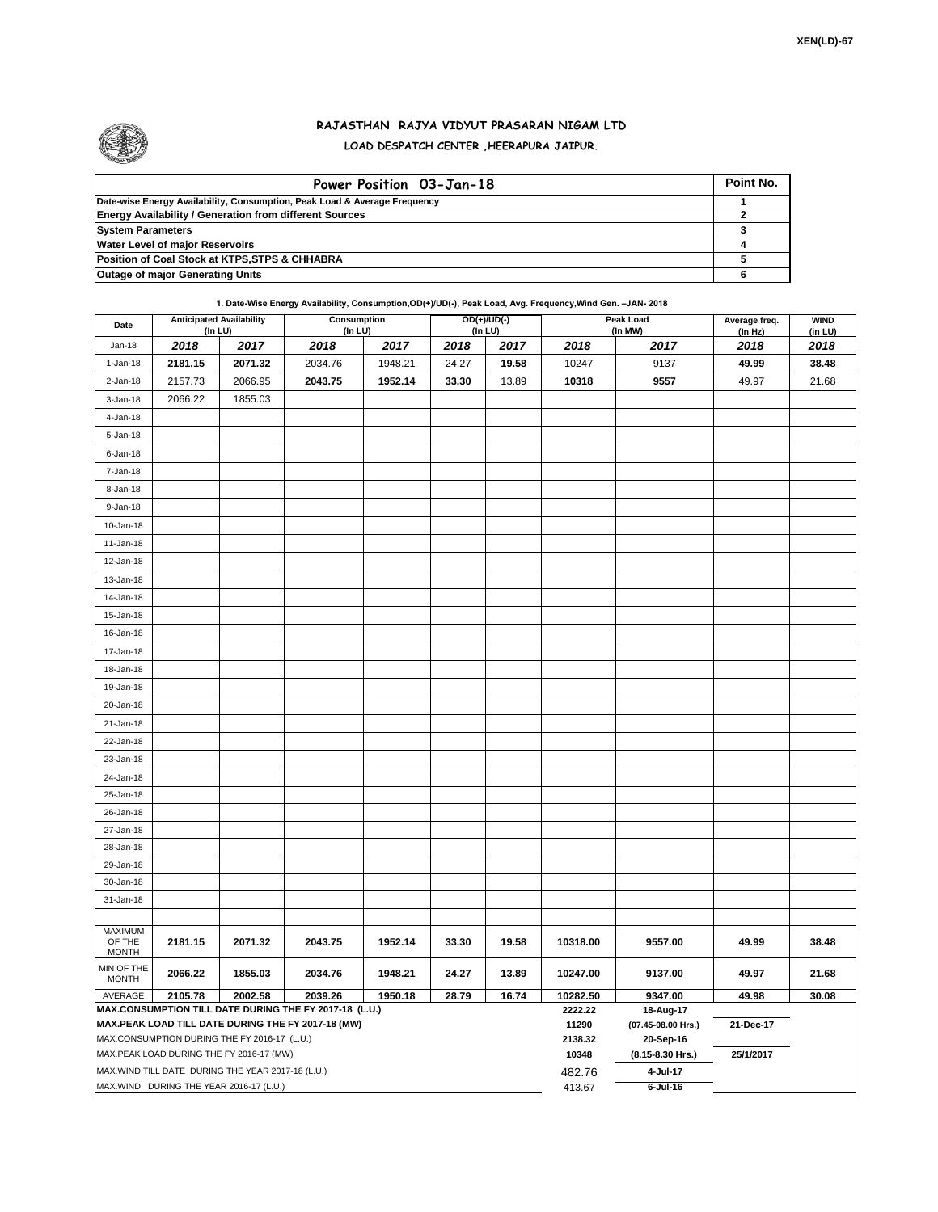

## **RAJASTHAN RAJYA VIDYUT PRASARAN NIGAM LTD LOAD DESPATCH CENTER ,HEERAPURA JAIPUR.**

| Power Position 03-Jan-18                                                  | Point No. |
|---------------------------------------------------------------------------|-----------|
| Date-wise Energy Availability, Consumption, Peak Load & Average Frequency |           |
| <b>Energy Availability / Generation from different Sources</b>            |           |
| <b>System Parameters</b>                                                  |           |
| <b>Water Level of major Reservoirs</b>                                    |           |
| Position of Coal Stock at KTPS, STPS & CHHABRA                            |           |
| <b>Outage of major Generating Units</b>                                   |           |

## **1. Date-Wise Energy Availability, Consumption,OD(+)/UD(-), Peak Load, Avg. Frequency,Wind Gen. –JAN- 2018**

| Date                       |                                              | <b>Anticipated Availability</b><br>(In LU)         | <b>Consumption</b><br>(In LU)                                     |                  |                                 | $OD(+)/UD(-)$<br>(In LU) |          | <b>Peak Load</b><br>(In MW) |                 | <b>WIND</b><br>(in LU) |  |
|----------------------------|----------------------------------------------|----------------------------------------------------|-------------------------------------------------------------------|------------------|---------------------------------|--------------------------|----------|-----------------------------|-----------------|------------------------|--|
| Jan-18                     | 2018                                         | 2017                                               | 2018                                                              | 2017             | 2018                            | 2017                     | 2018     | 2017                        | (In Hz)<br>2018 | 2018                   |  |
| 1-Jan-18                   | 2181.15                                      | 2071.32                                            | 2034.76                                                           | 1948.21          | 24.27                           | 19.58                    | 10247    | 9137                        | 49.99           | 38.48                  |  |
| $2 - Jan-18$               | 2157.73                                      | 2066.95                                            | 2043.75                                                           | 1952.14          | 33.30                           | 13.89                    | 10318    | 9557                        | 49.97           | 21.68                  |  |
| $3 - Jan-18$               | 2066.22                                      | 1855.03                                            |                                                                   |                  |                                 |                          |          |                             |                 |                        |  |
| 4-Jan-18                   |                                              |                                                    |                                                                   |                  |                                 |                          |          |                             |                 |                        |  |
| 5-Jan-18                   |                                              |                                                    |                                                                   |                  |                                 |                          |          |                             |                 |                        |  |
| $6$ -Jan-18                |                                              |                                                    |                                                                   |                  |                                 |                          |          |                             |                 |                        |  |
| 7-Jan-18                   |                                              |                                                    |                                                                   |                  |                                 |                          |          |                             |                 |                        |  |
| 8-Jan-18                   |                                              |                                                    |                                                                   |                  |                                 |                          |          |                             |                 |                        |  |
| 9-Jan-18                   |                                              |                                                    |                                                                   |                  |                                 |                          |          |                             |                 |                        |  |
| 10-Jan-18                  |                                              |                                                    |                                                                   |                  |                                 |                          |          |                             |                 |                        |  |
| $11 - Jan-18$              |                                              |                                                    |                                                                   |                  |                                 |                          |          |                             |                 |                        |  |
| 12-Jan-18                  |                                              |                                                    |                                                                   |                  |                                 |                          |          |                             |                 |                        |  |
| 13-Jan-18                  |                                              |                                                    |                                                                   |                  |                                 |                          |          |                             |                 |                        |  |
| 14-Jan-18                  |                                              |                                                    |                                                                   |                  |                                 |                          |          |                             |                 |                        |  |
| 15-Jan-18                  |                                              |                                                    |                                                                   |                  |                                 |                          |          |                             |                 |                        |  |
| 16-Jan-18                  |                                              |                                                    |                                                                   |                  |                                 |                          |          |                             |                 |                        |  |
| 17-Jan-18                  |                                              |                                                    |                                                                   |                  |                                 |                          |          |                             |                 |                        |  |
| 18-Jan-18                  |                                              |                                                    |                                                                   |                  |                                 |                          |          |                             |                 |                        |  |
| 19-Jan-18                  |                                              |                                                    |                                                                   |                  |                                 |                          |          |                             |                 |                        |  |
| 20-Jan-18                  |                                              |                                                    |                                                                   |                  |                                 |                          |          |                             |                 |                        |  |
| 21-Jan-18                  |                                              |                                                    |                                                                   |                  |                                 |                          |          |                             |                 |                        |  |
| 22-Jan-18                  |                                              |                                                    |                                                                   |                  |                                 |                          |          |                             |                 |                        |  |
| 23-Jan-18                  |                                              |                                                    |                                                                   |                  |                                 |                          |          |                             |                 |                        |  |
| 24-Jan-18                  |                                              |                                                    |                                                                   |                  |                                 |                          |          |                             |                 |                        |  |
| 25-Jan-18                  |                                              |                                                    |                                                                   |                  |                                 |                          |          |                             |                 |                        |  |
| 26-Jan-18                  |                                              |                                                    |                                                                   |                  |                                 |                          |          |                             |                 |                        |  |
| 27-Jan-18                  |                                              |                                                    |                                                                   |                  |                                 |                          |          |                             |                 |                        |  |
| 28-Jan-18                  |                                              |                                                    |                                                                   |                  |                                 |                          |          |                             |                 |                        |  |
| 29-Jan-18                  |                                              |                                                    |                                                                   |                  |                                 |                          |          |                             |                 |                        |  |
| 30-Jan-18                  |                                              |                                                    |                                                                   |                  |                                 |                          |          |                             |                 |                        |  |
| 31-Jan-18                  |                                              |                                                    |                                                                   |                  |                                 |                          |          |                             |                 |                        |  |
| <b>MAXIMUM</b>             |                                              |                                                    |                                                                   |                  |                                 |                          |          |                             |                 |                        |  |
| OF THE                     | 2181.15                                      | 2071.32                                            | 2043.75                                                           | 1952.14          | 33.30                           | 19.58                    | 10318.00 | 9557.00                     | 49.99           | 38.48                  |  |
| <b>MONTH</b>               |                                              |                                                    |                                                                   |                  |                                 |                          |          |                             |                 |                        |  |
| MIN OF THE<br><b>MONTH</b> | 2066.22                                      | 1855.03                                            | 2034.76                                                           | 1948.21          | 24.27                           | 13.89                    | 10247.00 | 9137.00                     | 49.97           | 21.68                  |  |
| AVERAGE                    | 2105.78                                      | 2002.58                                            | 2039.26<br>MAX.CONSUMPTION TILL DATE DURING THE FY 2017-18 (L.U.) | 1950.18          | 28.79                           | 16.74                    | 10282.50 | 9347.00                     | 49.98           | 30.08                  |  |
|                            |                                              |                                                    | MAX.PEAK LOAD TILL DATE DURING THE FY 2017-18 (MW)                | 2222.22<br>11290 | 18-Aug-17<br>(07.45-08.00 Hrs.) | 21-Dec-17                |          |                             |                 |                        |  |
|                            | MAX.CONSUMPTION DURING THE FY 2016-17 (L.U.) |                                                    |                                                                   |                  |                                 |                          |          | 20-Sep-16                   |                 |                        |  |
|                            |                                              | MAX.PEAK LOAD DURING THE FY 2016-17 (MW)           |                                                                   |                  |                                 |                          | 10348    | (8.15-8.30 Hrs.)            | 25/1/2017       |                        |  |
|                            |                                              | MAX. WIND TILL DATE DURING THE YEAR 2017-18 (L.U.) |                                                                   |                  |                                 |                          | 482.76   | 4-Jul-17                    |                 |                        |  |
|                            |                                              | MAX.WIND DURING THE YEAR 2016-17 (L.U.)            |                                                                   |                  |                                 |                          | 413.67   | $6$ -Jul-16                 |                 |                        |  |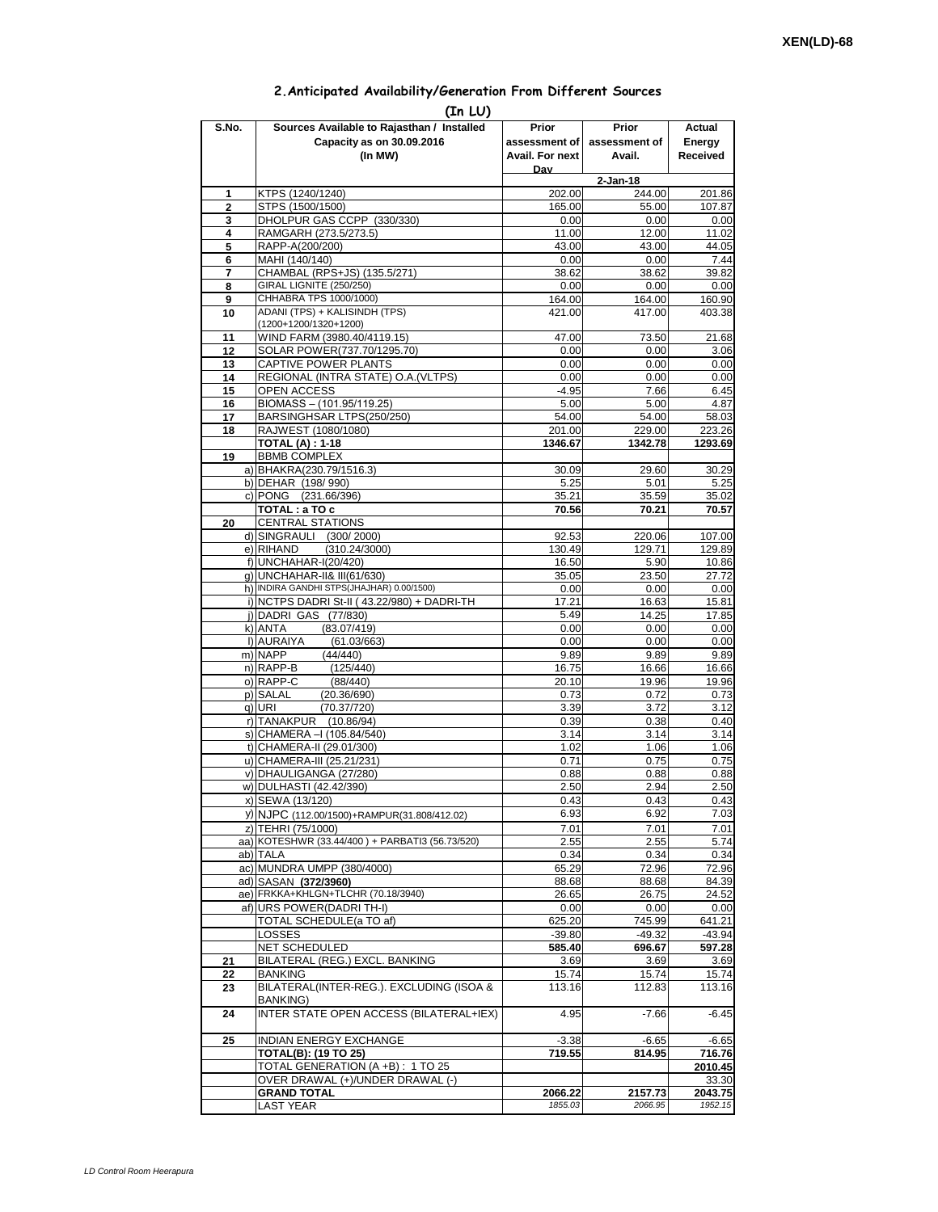## **2.Anticipated Availability/Generation From Different Sources**

| (In LU)        |                                                                      |                    |                    |                    |  |  |  |  |  |  |
|----------------|----------------------------------------------------------------------|--------------------|--------------------|--------------------|--|--|--|--|--|--|
| S.No.          | Sources Available to Rajasthan / Installed                           | Prior              | Prior              | Actual             |  |  |  |  |  |  |
|                | Capacity as on 30.09.2016                                            | assessment of      | assessment of      | Energy             |  |  |  |  |  |  |
|                | (In MW)                                                              | Avail. For next    | Avail.             | Received           |  |  |  |  |  |  |
|                |                                                                      | Dav                | $2-Jan-18$         |                    |  |  |  |  |  |  |
| 1              | KTPS (1240/1240)                                                     | 202.00             | 244.00             | 201.86             |  |  |  |  |  |  |
| $\overline{2}$ | STPS (1500/1500)                                                     | 165.00             | 55.00              | 107.87             |  |  |  |  |  |  |
| 3              | DHOLPUR GAS CCPP (330/330)                                           | 0.00               | 0.00               | 0.00               |  |  |  |  |  |  |
| 4<br>5         | RAMGARH (273.5/273.5)<br>RAPP-A(200/200)                             | 11.00<br>43.00     | 12.00<br>43.00     | 11.02<br>44.05     |  |  |  |  |  |  |
| 6              | MAHI (140/140)                                                       | 0.00               | 0.00               | 7.44               |  |  |  |  |  |  |
| 7              | CHAMBAL (RPS+JS) (135.5/271)                                         | 38.62              | 38.62              | 39.82              |  |  |  |  |  |  |
| 8              | GIRAL LIGNITE (250/250)                                              | 0.00               | 0.00               | 0.00               |  |  |  |  |  |  |
| 9              | CHHABRA TPS 1000/1000)<br>ADANI (TPS) + KALISINDH (TPS)              | 164.00             | 164.00             | 160.90             |  |  |  |  |  |  |
| 10             | (1200+1200/1320+1200)                                                | 421.00             | 417.00             | 403.38             |  |  |  |  |  |  |
| 11             | WIND FARM (3980.40/4119.15)                                          | 47.00              | 73.50              | 21.68              |  |  |  |  |  |  |
| 12             | SOLAR POWER(737.70/1295.70)                                          | 0.00               | 0.00               | 3.06               |  |  |  |  |  |  |
| 13             | CAPTIVE POWER PLANTS                                                 | 0.00               | 0.00               | 0.00               |  |  |  |  |  |  |
| 14<br>15       | REGIONAL (INTRA STATE) O.A. (VLTPS)<br>OPEN ACCESS                   | 0.00<br>$-4.95$    | 0.00<br>7.66       | 0.00<br>6.45       |  |  |  |  |  |  |
| 16             | BIOMASS - (101.95/119.25)                                            | 5.00               | 5.00               | 4.87               |  |  |  |  |  |  |
| 17             | BARSINGHSAR LTPS(250/250)                                            | 54.00              | 54.00              | 58.03              |  |  |  |  |  |  |
| 18             | RAJWEST (1080/1080)                                                  | 201.00             | 229.00             | 223.26             |  |  |  |  |  |  |
|                | <b>TOTAL (A): 1-18</b>                                               | 1346.67            | 1342.78            | 1293.69            |  |  |  |  |  |  |
| 19             | <b>BBMB COMPLEX</b><br>a) BHAKRA(230.79/1516.3)                      | 30.09              | 29.60              | 30.29              |  |  |  |  |  |  |
|                | b) DEHAR (198/990)                                                   | 5.25               | 5.01               | 5.25               |  |  |  |  |  |  |
|                | c) PONG (231.66/396)                                                 | 35.21              | 35.59              | 35.02              |  |  |  |  |  |  |
|                | TOTAL: a TO c                                                        | 70.56              | 70.21              | 70.57              |  |  |  |  |  |  |
| 20             | <b>CENTRAL STATIONS</b><br>d) SINGRAULI (300/2000)                   |                    |                    | 107.00             |  |  |  |  |  |  |
|                | e) RIHAND<br>(310.24/3000)                                           | 92.53<br>130.49    | 220.06<br>129.71   | 129.89             |  |  |  |  |  |  |
|                | f) UNCHAHAR-I(20/420)                                                | 16.50              | 5.90               | 10.86              |  |  |  |  |  |  |
|                | g) UNCHAHAR-II& III(61/630)                                          | 35.05              | 23.50              | 27.72              |  |  |  |  |  |  |
|                | h) INDIRA GANDHI STPS(JHAJHAR) 0.00/1500)                            | 0.00               | 0.00               | 0.00               |  |  |  |  |  |  |
|                | i) NCTPS DADRI St-II (43.22/980) + DADRI-TH<br>j) DADRI GAS (77/830) | 17.21<br>5.49      | 16.63<br>14.25     | 15.81<br>17.85     |  |  |  |  |  |  |
|                | k) ANTA<br>(83.07/419)                                               | 0.00               | 0.00               | 0.00               |  |  |  |  |  |  |
|                | I) AURAIYA<br>(61.03/663)                                            | 0.00               | 0.00               | 0.00               |  |  |  |  |  |  |
|                | m) NAPP<br>(44/440)                                                  | 9.89               | 9.89               | 9.89               |  |  |  |  |  |  |
|                | n) RAPP-B<br>(125/440)                                               | 16.75              | 16.66              | 16.66              |  |  |  |  |  |  |
|                | o) RAPP-C<br>(88/440)<br>p) SALAL<br>(20.36/690)                     | 20.10<br>0.73      | 19.96<br>0.72      | 19.96<br>0.73      |  |  |  |  |  |  |
|                | q) URI<br>(70.37/720)                                                | 3.39               | 3.72               | 3.12               |  |  |  |  |  |  |
|                | r) TANAKPUR<br>(10.86/94)                                            | 0.39               | 0.38               | 0.40               |  |  |  |  |  |  |
|                | s) CHAMERA - (105.84/540)                                            | 3.14               | 3.14               | 3.14               |  |  |  |  |  |  |
|                | t) CHAMERA-II (29.01/300)<br>u) CHAMERA-III (25.21/231)              | 1.02<br>0.71       | 1.06<br>0.75       | 1.06<br>0.75       |  |  |  |  |  |  |
|                | v) DHAULIGANGA (27/280)                                              | 0.88               | 0.88               | 0.88               |  |  |  |  |  |  |
|                | w) DULHASTI (42.42/390)                                              | 2.50               | 2.94               | 2.50               |  |  |  |  |  |  |
|                | x) SEWA (13/120)                                                     | 0.43               | 0.43               | 0.43               |  |  |  |  |  |  |
|                | y) NJPC (112.00/1500)+RAMPUR(31.808/412.02)                          | 6.93               | 6.92               | 7.03               |  |  |  |  |  |  |
|                | z) TEHRI (75/1000)                                                   | 7.01               | 7.01               | 7.01               |  |  |  |  |  |  |
|                | aa) KOTESHWR (33.44/400) + PARBATI3 (56.73/520)<br>ab) TALA          | 2.55<br>0.34       | 2.55<br>0.34       | 5.74<br>0.34       |  |  |  |  |  |  |
|                | ac) MUNDRA UMPP (380/4000)                                           | 65.29              | 72.96              | 72.96              |  |  |  |  |  |  |
|                | ad) SASAN (372/3960)                                                 | 88.68              | 88.68              | 84.39              |  |  |  |  |  |  |
|                | ae) FRKKA+KHLGN+TLCHR (70.18/3940)                                   | 26.65              | 26.75              | 24.52              |  |  |  |  |  |  |
|                | af) URS POWER(DADRITH-I)                                             | 0.00               | 0.00               | 0.00               |  |  |  |  |  |  |
|                | <b>TOTAL SCHEDULE(a TO af)</b><br>LOSSES                             | 625.20<br>$-39.80$ | 745.99<br>$-49.32$ | 641.21<br>$-43.94$ |  |  |  |  |  |  |
|                | NET SCHEDULED                                                        | 585.40             | 696.67             | 597.28             |  |  |  |  |  |  |
| 21             | BILATERAL (REG.) EXCL. BANKING                                       | 3.69               | 3.69               | 3.69               |  |  |  |  |  |  |
| 22             | BANKING                                                              | 15.74              | 15.74              | 15.74              |  |  |  |  |  |  |
| 23             | BILATERAL(INTER-REG.). EXCLUDING (ISOA &<br>BANKING)                 | 113.16             | 112.83             | 113.16             |  |  |  |  |  |  |
| 24             | INTER STATE OPEN ACCESS (BILATERAL+IEX)                              | 4.95               | $-7.66$            | $-6.45$            |  |  |  |  |  |  |
| 25             | INDIAN ENERGY EXCHANGE                                               | $-3.38$            | $-6.65$            | $-6.65$            |  |  |  |  |  |  |
|                | <b>TOTAL(B): (19 TO 25)</b>                                          | 719.55             | 814.95             | 716.76             |  |  |  |  |  |  |
|                | TOTAL GENERATION (A +B) : 1 TO 25                                    |                    |                    | 2010.45            |  |  |  |  |  |  |
|                | OVER DRAWAL (+)/UNDER DRAWAL (-)                                     |                    |                    | 33.30              |  |  |  |  |  |  |
|                | <b>GRAND TOTAL</b><br><b>LAST YEAR</b>                               | 2066.22<br>1855.03 | 2157.73<br>2066.95 | 2043.75<br>1952.15 |  |  |  |  |  |  |
|                |                                                                      |                    |                    |                    |  |  |  |  |  |  |